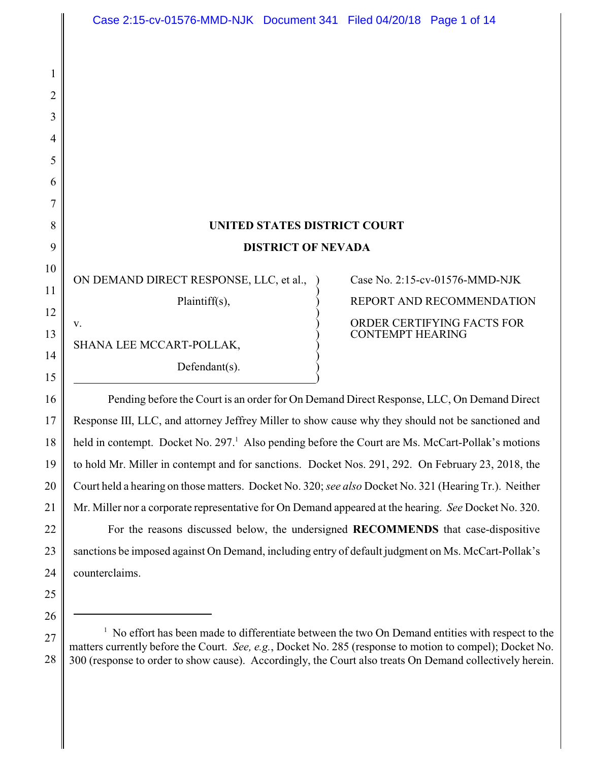## **UNITED STATES DISTRICT COURT DISTRICT OF NEVADA**

)

)

)

ON DEMAND DIRECT RESPONSE, LLC, et al., ) Case No. 2:15-cv-01576-MMD-NJK v.

)

SHANA LEE MCCART-POLLAK, Defendant $(s)$ .

# Plaintiff(s),  $\overrightarrow{P}$  REPORT AND RECOMMENDATION ) CONTEMPT HEARING

16 18 19 22 Pending before the Court is an order for On Demand Direct Response, LLC, On Demand Direct Response III, LLC, and attorney Jeffrey Miller to show cause why they should not be sanctioned and held in contempt. Docket No. 297.<sup>1</sup> Also pending before the Court are Ms. McCart-Pollak's motions to hold Mr. Miller in contempt and for sanctions. Docket Nos. 291, 292. On February 23, 2018, the Court held a hearing on those matters. Docket No. 320; *see also* Docket No. 321 (Hearing Tr.). Neither Mr. Miller nor a corporate representative for On Demand appeared at the hearing. *See* Docket No. 320. For the reasons discussed below, the undersigned **RECOMMENDS** that case-dispositive sanctions be imposed against On Demand, including entry of default judgment on Ms. McCart-Pollak's counterclaims.

25

1

2

3

4

5

6

7

8

9

10

11

12

13

14

15

17

20

21

23

24

<sup>27</sup> 28  $1$  No effort has been made to differentiate between the two On Demand entities with respect to the matters currently before the Court. *See, e.g.*, Docket No. 285 (response to motion to compel); Docket No. 300 (response to order to show cause). Accordingly, the Court also treats On Demand collectively herein.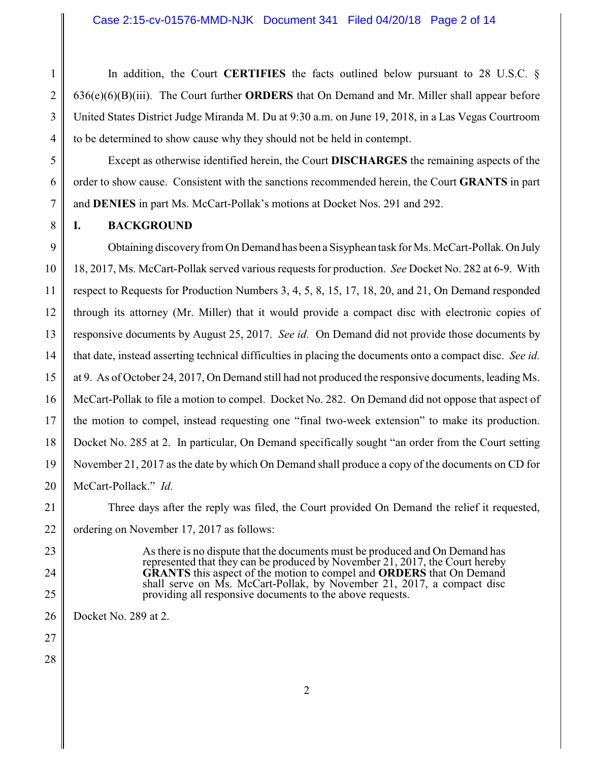1 2 3 4 In addition, the Court **CERTIFIES** the facts outlined below pursuant to 28 U.S.C. § 636(e)(6)(B)(iii). The Court further **ORDERS** that On Demand and Mr. Miller shall appear before United States District Judge Miranda M. Du at 9:30 a.m. on June 19, 2018, in a Las Vegas Courtroom to be determined to show cause why they should not be held in contempt.

Except as otherwise identified herein, the Court **DISCHARGES** the remaining aspects of the order to show cause. Consistent with the sanctions recommended herein, the Court **GRANTS** in part and **DENIES** in part Ms. McCart-Pollak's motions at Docket Nos. 291 and 292.

**I. BACKGROUND**

5

6

7

8

9 10 11 12 13 14 15 16 17 18 19 20 Obtaining discoveryfrom On Demand has been a Sisyphean task for Ms. McCart-Pollak.On July 18, 2017, Ms. McCart-Pollak served various requests for production. *See* Docket No. 282 at 6-9. With respect to Requests for Production Numbers 3, 4, 5, 8, 15, 17, 18, 20, and 21, On Demand responded through its attorney (Mr. Miller) that it would provide a compact disc with electronic copies of responsive documents by August 25, 2017. *See id.* On Demand did not provide those documents by that date, instead asserting technical difficulties in placing the documents onto a compact disc. *See id.* at 9. As of October 24, 2017, On Demand still had not produced the responsive documents, leading Ms. McCart-Pollak to file a motion to compel. Docket No. 282. On Demand did not oppose that aspect of the motion to compel, instead requesting one "final two-week extension" to make its production. Docket No. 285 at 2. In particular, On Demand specifically sought "an order from the Court setting November 21, 2017 as the date by which On Demand shall produce a copy of the documents on CD for McCart-Pollack." *Id.*

21 22 Three days after the reply was filed, the Court provided On Demand the relief it requested, ordering on November 17, 2017 as follows:

> As there is no dispute that the documents must be produced and On Demand has represented that they can be produced by November 21, 2017, the Court hereby **GRANTS** this aspect of the motion to compel and **ORDERS** that On Demand shall serve on Ms. McCart-Pollak, by November 21, 2017, a compact disc providing all responsive documents to the above requests.

26 Docket No. 289 at 2.

27 28

23

24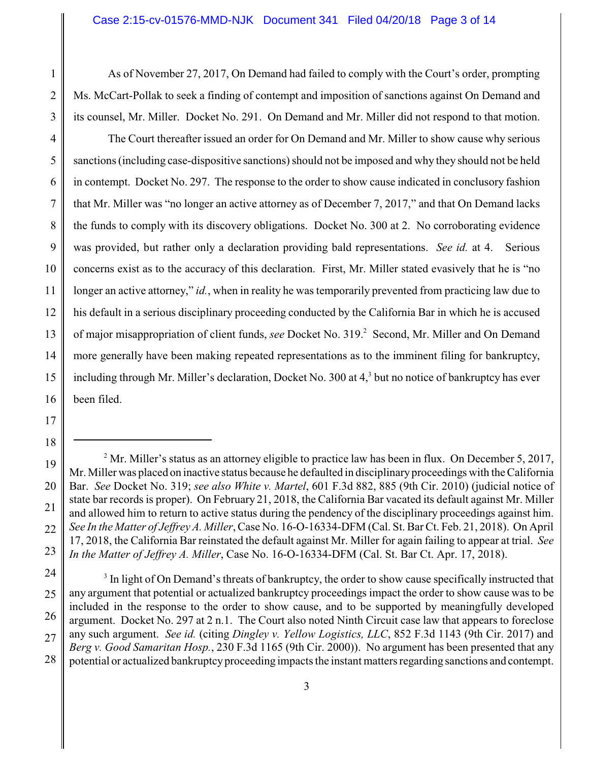As of November 27, 2017, On Demand had failed to comply with the Court's order, prompting Ms. McCart-Pollak to seek a finding of contempt and imposition of sanctions against On Demand and its counsel, Mr. Miller. Docket No. 291. On Demand and Mr. Miller did not respond to that motion.

2 3

1

4 5 6 7 8 9 10 11 12 13 14 15 16 The Court thereafter issued an order for On Demand and Mr. Miller to show cause why serious sanctions (including case-dispositive sanctions) should not be imposed and why they should not be held in contempt. Docket No. 297. The response to the order to show cause indicated in conclusory fashion that Mr. Miller was "no longer an active attorney as of December 7, 2017," and that On Demand lacks the funds to comply with its discovery obligations. Docket No. 300 at 2. No corroborating evidence was provided, but rather only a declaration providing bald representations. *See id.* at 4. Serious concerns exist as to the accuracy of this declaration. First, Mr. Miller stated evasively that he is "no longer an active attorney," *id.*, when in reality he was temporarily prevented from practicing law due to his default in a serious disciplinary proceeding conducted by the California Bar in which he is accused of major misappropriation of client funds, *see* Docket No. 319.<sup>2</sup> Second, Mr. Miller and On Demand more generally have been making repeated representations as to the imminent filing for bankruptcy, including through Mr. Miller's declaration, Docket No. 300 at 4,<sup>3</sup> but no notice of bankruptcy has ever been filed.

- 17
- 18

<sup>19</sup> 20 21 22 23  $2^{\circ}$  Mr. Miller's status as an attorney eligible to practice law has been in flux. On December 5, 2017, Mr. Miller was placed on inactive status because he defaulted in disciplinary proceedings with the California Bar. *See* Docket No. 319; *see also White v. Martel*, 601 F.3d 882, 885 (9th Cir. 2010) (judicial notice of state bar records is proper). On February 21, 2018, the California Bar vacated its default against Mr. Miller and allowed him to return to active status during the pendency of the disciplinary proceedings against him. *See In the Matter of Jeffrey A. Miller*,Case No. 16-O-16334-DFM (Cal. St. Bar Ct. Feb. 21, 2018). On April 17, 2018, the California Bar reinstated the default against Mr. Miller for again failing to appear at trial. *See In the Matter of Jeffrey A. Miller*, Case No. 16-O-16334-DFM (Cal. St. Bar Ct. Apr. 17, 2018).

<sup>24</sup> 25 26 27 28 <sup>3</sup> In light of On Demand's threats of bankruptcy, the order to show cause specifically instructed that any argument that potential or actualized bankruptcy proceedings impact the order to show cause was to be included in the response to the order to show cause, and to be supported by meaningfully developed argument. Docket No. 297 at 2 n.1. The Court also noted Ninth Circuit case law that appears to foreclose any such argument. *See id.* (citing *Dingley v. Yellow Logistics, LLC*, 852 F.3d 1143 (9th Cir. 2017) and *Berg v. Good Samaritan Hosp.*, 230 F.3d 1165 (9th Cir. 2000)). No argument has been presented that any potential or actualized bankruptcy proceeding impacts the instant matters regarding sanctions and contempt.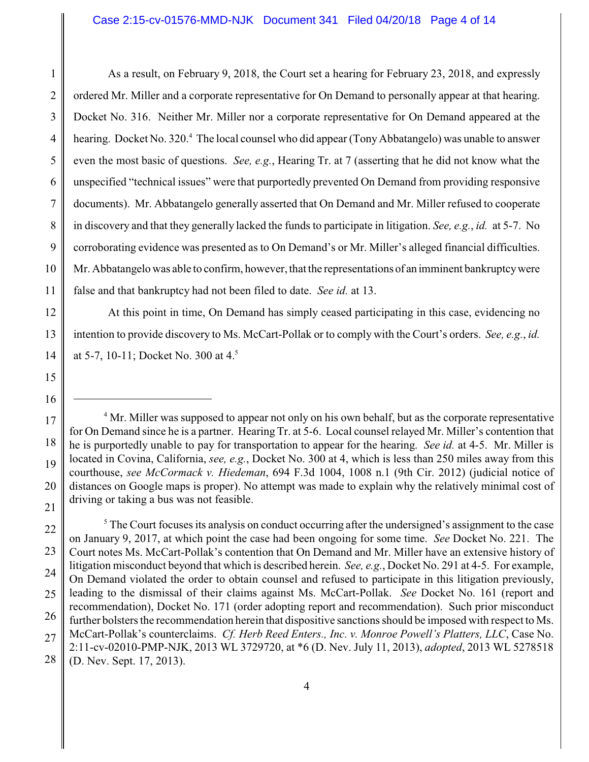1 2 3 4 5 6 7 8 9 10 11 As a result, on February 9, 2018, the Court set a hearing for February 23, 2018, and expressly ordered Mr. Miller and a corporate representative for On Demand to personally appear at that hearing. Docket No. 316. Neither Mr. Miller nor a corporate representative for On Demand appeared at the hearing. Docket No. 320.<sup>4</sup> The local counsel who did appear (Tony Abbatangelo) was unable to answer even the most basic of questions. *See, e.g.*, Hearing Tr. at 7 (asserting that he did not know what the unspecified "technical issues" were that purportedly prevented On Demand from providing responsive documents). Mr. Abbatangelo generally asserted that On Demand and Mr. Miller refused to cooperate in discovery and that they generally lacked the funds to participate in litigation. *See, e.g.*, *id.* at 5-7. No corroborating evidence was presented as to On Demand's or Mr. Miller's alleged financial difficulties. Mr. Abbatangelo was able to confirm, however, that the representations of an imminent bankruptcywere false and that bankruptcy had not been filed to date. *See id.* at 13.

12 13 14 At this point in time, On Demand has simply ceased participating in this case, evidencing no intention to provide discovery to Ms. McCart-Pollak or to comply with the Court's orders. *See, e.g.*, *id.* at 5-7, 10-11; Docket No. 300 at 4.<sup>5</sup>

20

<sup>&</sup>lt;sup>4</sup> Mr. Miller was supposed to appear not only on his own behalf, but as the corporate representative for On Demand since he is a partner. Hearing Tr. at 5-6. Local counsel relayed Mr. Miller's contention that he is purportedly unable to pay for transportation to appear for the hearing. *See id.* at 4-5. Mr. Miller is located in Covina, California, *see, e.g.*, Docket No. 300 at 4, which is less than 250 miles away from this courthouse, *see McCormack v. Hiedeman*, 694 F.3d 1004, 1008 n.1 (9th Cir. 2012) (judicial notice of distances on Google maps is proper). No attempt was made to explain why the relatively minimal cost of driving or taking a bus was not feasible.

<sup>22</sup> 23 24 25 26 27 28 <sup>5</sup> The Court focuses its analysis on conduct occurring after the undersigned's assignment to the case on January 9, 2017, at which point the case had been ongoing for some time. *See* Docket No. 221. The Court notes Ms. McCart-Pollak's contention that On Demand and Mr. Miller have an extensive history of litigation misconduct beyond that which is described herein. *See, e.g.*, Docket No. 291 at 4-5. For example, On Demand violated the order to obtain counsel and refused to participate in this litigation previously, leading to the dismissal of their claims against Ms. McCart-Pollak. *See* Docket No. 161 (report and recommendation), Docket No. 171 (order adopting report and recommendation). Such prior misconduct further bolsters the recommendation herein that dispositive sanctions should be imposed with respect to Ms. McCart-Pollak's counterclaims. *Cf. Herb Reed Enters., Inc. v. Monroe Powell's Platters, LLC*, Case No. 2:11-cv-02010-PMP-NJK, 2013 WL 3729720, at \*6 (D. Nev. July 11, 2013), *adopted*, 2013 WL 5278518 (D. Nev. Sept. 17, 2013).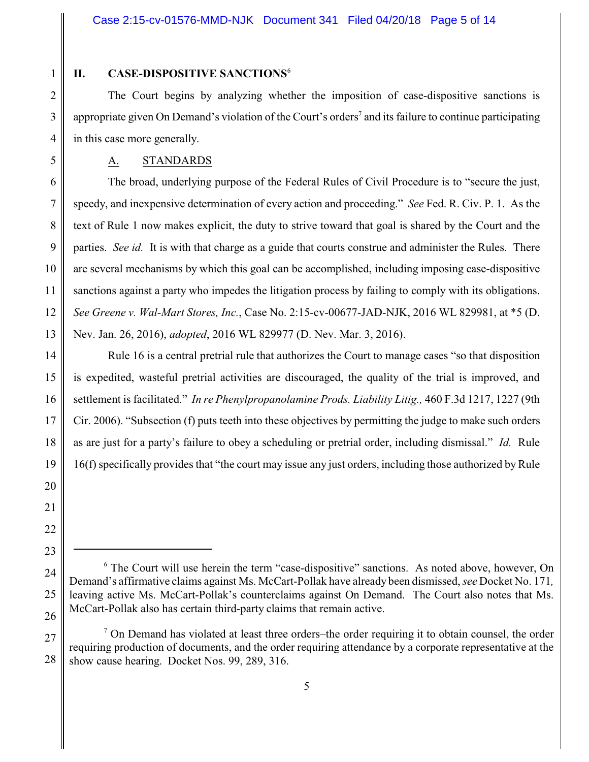1

5

## **II. CASE-DISPOSITIVE SANCTIONS**<sup>6</sup>

2 3 4 The Court begins by analyzing whether the imposition of case-dispositive sanctions is appropriate given On Demand's violation of the Court's orders<sup>7</sup> and its failure to continue participating in this case more generally.

A. STANDARDS

6 7 8 9 10 11 12 13 The broad, underlying purpose of the Federal Rules of Civil Procedure is to "secure the just, speedy, and inexpensive determination of every action and proceeding." *See* Fed. R. Civ. P. 1. As the text of Rule 1 now makes explicit, the duty to strive toward that goal is shared by the Court and the parties. *See id.* It is with that charge as a guide that courts construe and administer the Rules. There are several mechanisms by which this goal can be accomplished, including imposing case-dispositive sanctions against a party who impedes the litigation process by failing to comply with its obligations. *See Greene v. Wal-Mart Stores, Inc.*, Case No. 2:15-cv-00677-JAD-NJK, 2016 WL 829981, at \*5 (D. Nev. Jan. 26, 2016), *adopted*, 2016 WL 829977 (D. Nev. Mar. 3, 2016).

14 15 16 17 18 Rule 16 is a central pretrial rule that authorizes the Court to manage cases "so that disposition is expedited, wasteful pretrial activities are discouraged, the quality of the trial is improved, and settlement is facilitated." *In re Phenylpropanolamine Prods. Liability Litig.,* 460 F.3d 1217, 1227 (9th Cir. 2006). "Subsection (f) puts teeth into these objectives by permitting the judge to make such orders as are just for a party's failure to obey a scheduling or pretrial order, including dismissal." *Id.* Rule 16(f) specifically provides that "the court may issue any just orders, including those authorized by Rule

24

25

<sup>&</sup>lt;sup>6</sup> The Court will use herein the term "case-dispositive" sanctions. As noted above, however, On Demand's affirmative claims against Ms. McCart-Pollak have already been dismissed, *see* Docket No. 171*,* leaving active Ms. McCart-Pollak's counterclaims against On Demand. The Court also notes that Ms. McCart-Pollak also has certain third-party claims that remain active.

<sup>27</sup> 28  $<sup>7</sup>$  On Demand has violated at least three orders–the order requiring it to obtain counsel, the order</sup> requiring production of documents, and the order requiring attendance by a corporate representative at the show cause hearing. Docket Nos. 99, 289, 316.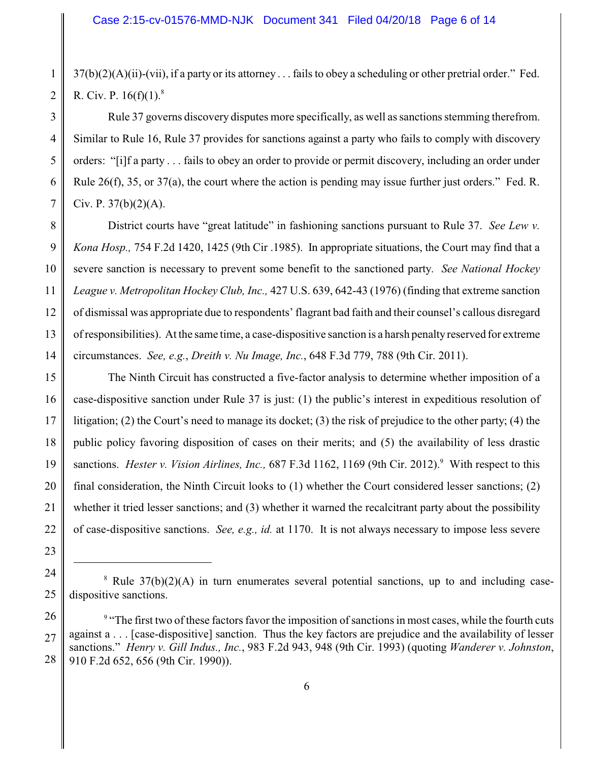2 37(b)(2)(A)(ii)-(vii), if a party or its attorney . . . fails to obey a scheduling or other pretrial order." Fed. R. Civ. P.  $16(f)(1)^8$ 

3 4 Rule 37 governs discovery disputes more specifically, as well as sanctions stemming therefrom. Similar to Rule 16, Rule 37 provides for sanctions against a party who fails to comply with discovery orders: "[i]f a party . . . fails to obey an order to provide or permit discovery, including an order under Rule 26(f), 35, or 37(a), the court where the action is pending may issue further just orders." Fed. R. Civ. P.  $37(b)(2)(A)$ .

8 9 10 11 12 13 14 District courts have "great latitude" in fashioning sanctions pursuant to Rule 37. *See Lew v. Kona Hosp.,* 754 F.2d 1420, 1425 (9th Cir .1985). In appropriate situations, the Court may find that a severe sanction is necessary to prevent some benefit to the sanctioned party. *See National Hockey League v. Metropolitan Hockey Club, Inc.,* 427 U.S. 639, 642-43 (1976) (finding that extreme sanction of dismissal was appropriate due to respondents' flagrant bad faith and their counsel's callous disregard of responsibilities). At the same time, a case-dispositive sanction is a harsh penalty reserved for extreme circumstances. *See, e.g.*, *Dreith v. Nu Image, Inc.*, 648 F.3d 779, 788 (9th Cir. 2011).

15 16 17 18 19 20 21 22 The Ninth Circuit has constructed a five-factor analysis to determine whether imposition of a case-dispositive sanction under Rule 37 is just: (1) the public's interest in expeditious resolution of litigation; (2) the Court's need to manage its docket; (3) the risk of prejudice to the other party; (4) the public policy favoring disposition of cases on their merits; and (5) the availability of less drastic sanctions. *Hester v. Vision Airlines, Inc.*, 687 F.3d 1162, 1169 (9th Cir. 2012).<sup>9</sup> With respect to this final consideration, the Ninth Circuit looks to (1) whether the Court considered lesser sanctions; (2) whether it tried lesser sanctions; and (3) whether it warned the recalcitrant party about the possibility of case-dispositive sanctions. *See, e.g., id.* at 1170. It is not always necessary to impose less severe

23

1

5

6

7

24

25

 $8$  Rule 37(b)(2)(A) in turn enumerates several potential sanctions, up to and including casedispositive sanctions.

<sup>26</sup> 27 28 <sup>9</sup> "The first two of these factors favor the imposition of sanctions in most cases, while the fourth cuts against a . . . [case-dispositive] sanction. Thus the key factors are prejudice and the availability of lesser sanctions." *Henry v. Gill Indus., Inc.*, 983 F.2d 943, 948 (9th Cir. 1993) (quoting *Wanderer v. Johnston*, 910 F.2d 652, 656 (9th Cir. 1990)).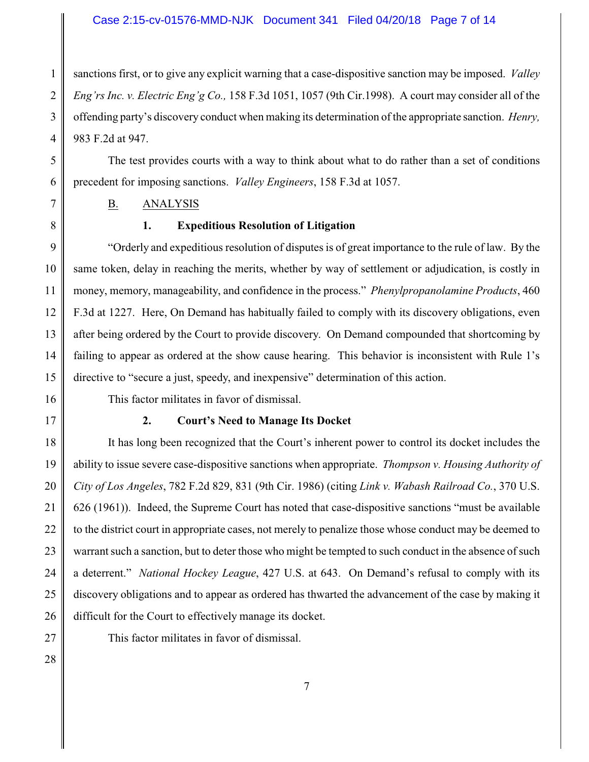#### Case 2:15-cv-01576-MMD-NJK Document 341 Filed 04/20/18 Page 7 of 14

1 2 3 4 sanctions first, or to give any explicit warning that a case-dispositive sanction may be imposed. *Valley Eng'rs Inc. v. Electric Eng'g Co.,* 158 F.3d 1051, 1057 (9th Cir.1998). A court may consider all of the offending party's discovery conduct when making its determination of the appropriate sanction. *Henry,* 983 F.2d at 947.

The test provides courts with a way to think about what to do rather than a set of conditions precedent for imposing sanctions. *Valley Engineers*, 158 F.3d at 1057.

7

8

5

6

B. ANALYSIS

#### **1. Expeditious Resolution of Litigation**

9 10 11 12 13 14 15 "Orderly and expeditious resolution of disputes is of great importance to the rule of law. By the same token, delay in reaching the merits, whether by way of settlement or adjudication, is costly in money, memory, manageability, and confidence in the process." *Phenylpropanolamine Products*, 460 F.3d at 1227. Here, On Demand has habitually failed to comply with its discovery obligations, even after being ordered by the Court to provide discovery. On Demand compounded that shortcoming by failing to appear as ordered at the show cause hearing. This behavior is inconsistent with Rule 1's directive to "secure a just, speedy, and inexpensive" determination of this action.

- 16
- 17

This factor militates in favor of dismissal.

#### **2. Court's Need to Manage Its Docket**

18 19 20 21 22 23 24 25 26 It has long been recognized that the Court's inherent power to control its docket includes the ability to issue severe case-dispositive sanctions when appropriate. *Thompson v. Housing Authority of City of Los Angeles*, 782 F.2d 829, 831 (9th Cir. 1986) (citing *Link v. Wabash Railroad Co.*, 370 U.S. 626 (1961)). Indeed, the Supreme Court has noted that case-dispositive sanctions "must be available to the district court in appropriate cases, not merely to penalize those whose conduct may be deemed to warrant such a sanction, but to deter those who might be tempted to such conduct in the absence of such a deterrent." *National Hockey League*, 427 U.S. at 643. On Demand's refusal to comply with its discovery obligations and to appear as ordered has thwarted the advancement of the case by making it difficult for the Court to effectively manage its docket.

27

This factor militates in favor of dismissal.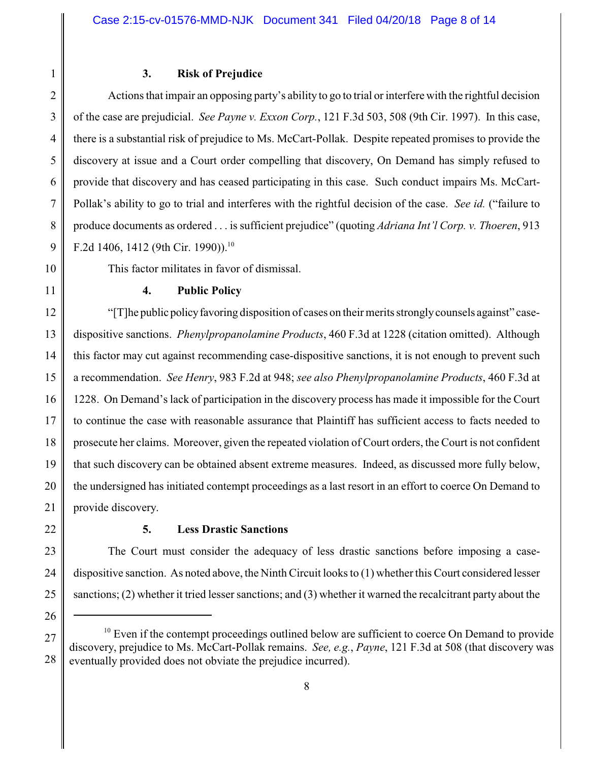1

## **3. Risk of Prejudice**

2 3 4 5 6 7 8 9 Actions that impair an opposing party's ability to go to trial or interfere with the rightful decision of the case are prejudicial. *See Payne v. Exxon Corp.*, 121 F.3d 503, 508 (9th Cir. 1997). In this case, there is a substantial risk of prejudice to Ms. McCart-Pollak. Despite repeated promises to provide the discovery at issue and a Court order compelling that discovery, On Demand has simply refused to provide that discovery and has ceased participating in this case. Such conduct impairs Ms. McCart-Pollak's ability to go to trial and interferes with the rightful decision of the case. *See id.* ("failure to produce documents as ordered . . . is sufficient prejudice" (quoting *Adriana Int'l Corp. v. Thoeren*, 913 F.2d 1406, 1412 (9th Cir. 1990)).<sup>10</sup>

- 10
- 11

This factor militates in favor of dismissal.

## **4. Public Policy**

12 13 14 15 16 17 18 19 20 21 "[T]he public policyfavoring disposition of cases on their merits stronglycounsels against" casedispositive sanctions. *Phenylpropanolamine Products*, 460 F.3d at 1228 (citation omitted). Although this factor may cut against recommending case-dispositive sanctions, it is not enough to prevent such a recommendation. *See Henry*, 983 F.2d at 948; *see also Phenylpropanolamine Products*, 460 F.3d at 1228. On Demand's lack of participation in the discovery process has made it impossible for the Court to continue the case with reasonable assurance that Plaintiff has sufficient access to facts needed to prosecute her claims. Moreover, given the repeated violation of Court orders, the Court is not confident that such discovery can be obtained absent extreme measures. Indeed, as discussed more fully below, the undersigned has initiated contempt proceedings as a last resort in an effort to coerce On Demand to provide discovery.

## **5. Less Drastic Sanctions**

The Court must consider the adequacy of less drastic sanctions before imposing a casedispositive sanction. As noted above, the Ninth Circuit looks to (1) whether this Court considered lesser sanctions; (2) whether it tried lesser sanctions; and (3) whether it warned the recalcitrant party about the

<sup>28</sup>  $10$  Even if the contempt proceedings outlined below are sufficient to coerce On Demand to provide discovery, prejudice to Ms. McCart-Pollak remains. *See, e.g.*, *Payne*, 121 F.3d at 508 (that discovery was eventually provided does not obviate the prejudice incurred).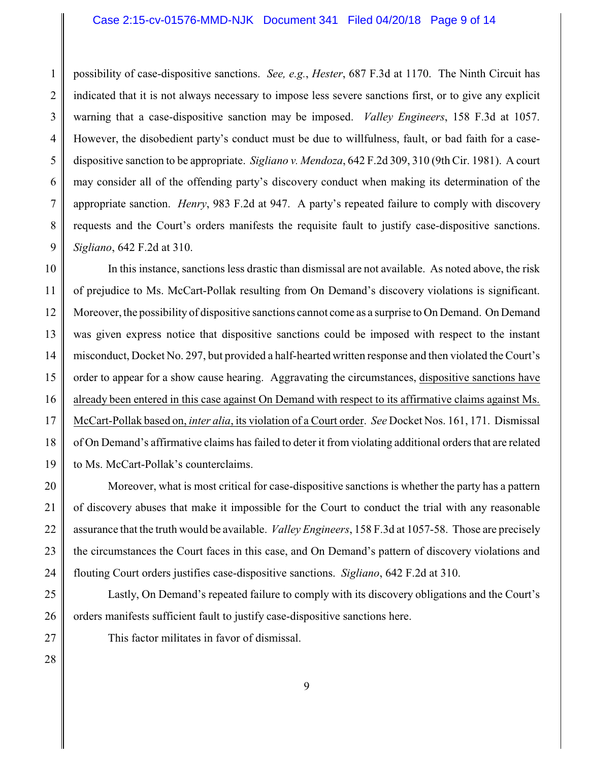#### Case 2:15-cv-01576-MMD-NJK Document 341 Filed 04/20/18 Page 9 of 14

1 2 3 4 5 6 7 8 9 possibility of case-dispositive sanctions. *See, e.g.*, *Hester*, 687 F.3d at 1170. The Ninth Circuit has indicated that it is not always necessary to impose less severe sanctions first, or to give any explicit warning that a case-dispositive sanction may be imposed. *Valley Engineers*, 158 F.3d at 1057. However, the disobedient party's conduct must be due to willfulness, fault, or bad faith for a casedispositive sanction to be appropriate. *Sigliano v. Mendoza*, 642 F.2d 309, 310 (9th Cir. 1981). A court may consider all of the offending party's discovery conduct when making its determination of the appropriate sanction. *Henry*, 983 F.2d at 947. A party's repeated failure to comply with discovery requests and the Court's orders manifests the requisite fault to justify case-dispositive sanctions. *Sigliano*, 642 F.2d at 310.

10 11 12 13 14 15 16 17 18 19 In this instance, sanctions less drastic than dismissal are not available. As noted above, the risk of prejudice to Ms. McCart-Pollak resulting from On Demand's discovery violations is significant. Moreover, the possibility of dispositive sanctions cannot come as a surprise to On Demand. On Demand was given express notice that dispositive sanctions could be imposed with respect to the instant misconduct, Docket No. 297, but provided a half-hearted written response and then violated the Court's order to appear for a show cause hearing. Aggravating the circumstances, dispositive sanctions have already been entered in this case against On Demand with respect to its affirmative claims against Ms. McCart-Pollak based on, *inter alia*, its violation of a Court order. *See* Docket Nos. 161, 171. Dismissal of On Demand's affirmative claims has failed to deter it from violating additional orders that are related to Ms. McCart-Pollak's counterclaims.

20 21 22 23 24 Moreover, what is most critical for case-dispositive sanctions is whether the party has a pattern of discovery abuses that make it impossible for the Court to conduct the trial with any reasonable assurance that the truth would be available. *Valley Engineers*, 158 F.3d at 1057-58. Those are precisely the circumstances the Court faces in this case, and On Demand's pattern of discovery violations and flouting Court orders justifies case-dispositive sanctions. *Sigliano*, 642 F.2d at 310.

25 26 Lastly, On Demand's repeated failure to comply with its discovery obligations and the Court's orders manifests sufficient fault to justify case-dispositive sanctions here.

This factor militates in favor of dismissal.

28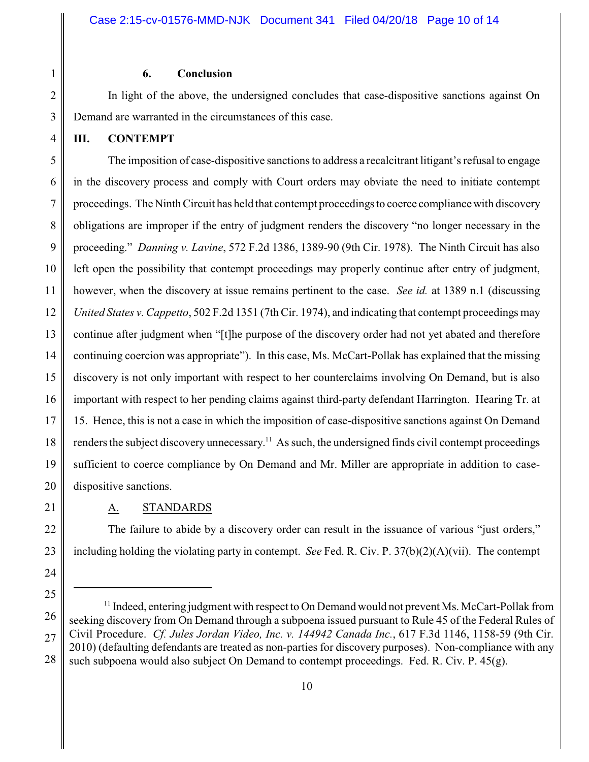### **6. Conclusion**

In light of the above, the undersigned concludes that case-dispositive sanctions against On Demand are warranted in the circumstances of this case.

**III. CONTEMPT**

1

2

3

4

5 6 7 8 9 10 11 12 13 14 15 16 17 18 19 20 The imposition of case-dispositive sanctions to address a recalcitrant litigant's refusal to engage in the discovery process and comply with Court orders may obviate the need to initiate contempt proceedings. The Ninth Circuit has held that contempt proceedings to coerce compliance with discovery obligations are improper if the entry of judgment renders the discovery "no longer necessary in the proceeding." *Danning v. Lavine*, 572 F.2d 1386, 1389-90 (9th Cir. 1978). The Ninth Circuit has also left open the possibility that contempt proceedings may properly continue after entry of judgment, however, when the discovery at issue remains pertinent to the case. *See id.* at 1389 n.1 (discussing *United States v. Cappetto*, 502 F.2d 1351 (7th Cir. 1974), and indicating that contempt proceedings may continue after judgment when "[t]he purpose of the discovery order had not yet abated and therefore continuing coercion was appropriate"). In this case, Ms. McCart-Pollak has explained that the missing discovery is not only important with respect to her counterclaims involving On Demand, but is also important with respect to her pending claims against third-party defendant Harrington. Hearing Tr. at 15. Hence, this is not a case in which the imposition of case-dispositive sanctions against On Demand renders the subject discovery unnecessary.<sup>11</sup> As such, the undersigned finds civil contempt proceedings sufficient to coerce compliance by On Demand and Mr. Miller are appropriate in addition to casedispositive sanctions.

21

22

23

24

## A. STANDARDS

The failure to abide by a discovery order can result in the issuance of various "just orders," including holding the violating party in contempt. *See* Fed. R. Civ. P. 37(b)(2)(A)(vii). The contempt

<sup>25</sup> 26 27 28 <sup>11</sup> Indeed, entering judgment with respect to On Demand would not prevent Ms. McCart-Pollak from seeking discovery from On Demand through a subpoena issued pursuant to Rule 45 of the Federal Rules of Civil Procedure. *Cf. Jules Jordan Video, Inc. v. 144942 Canada Inc.*, 617 F.3d 1146, 1158-59 (9th Cir. 2010) (defaulting defendants are treated as non-parties for discovery purposes). Non-compliance with any such subpoena would also subject On Demand to contempt proceedings. Fed. R. Civ. P. 45(g).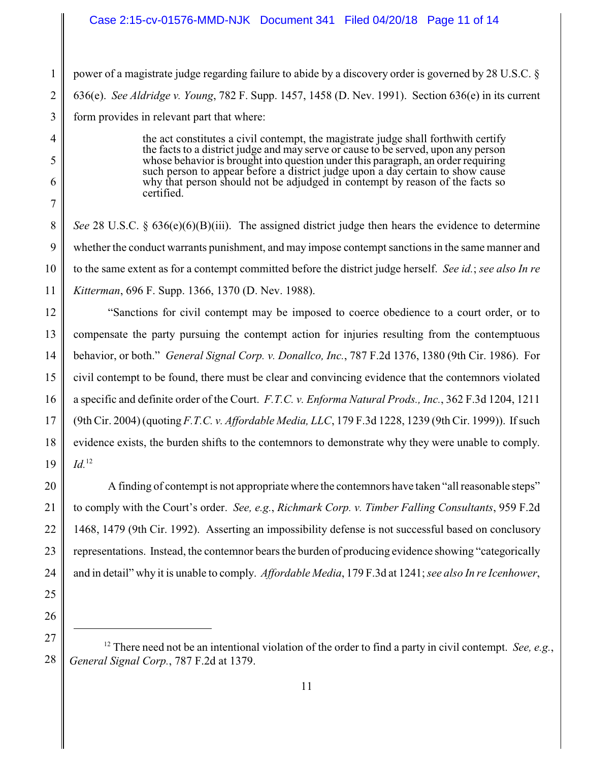### Case 2:15-cv-01576-MMD-NJK Document 341 Filed 04/20/18 Page 11 of 14

1 2 3 power of a magistrate judge regarding failure to abide by a discovery order is governed by 28 U.S.C. § 636(e). *See Aldridge v. Young*, 782 F. Supp. 1457, 1458 (D. Nev. 1991). Section 636(e) in its current form provides in relevant part that where:

4

5

6

7

25

26

the act constitutes a civil contempt, the magistrate judge shall forthwith certify the facts to a district judge and may serve or cause to be served, upon any person whose behavior is brought into question under this paragraph, an order requiring such person to appear before a district judge upon a day certain to show cause why that person should not be adjudged in contempt by reason of the facts so certified.

8 9 10 11 *See* 28 U.S.C. § 636(e)(6)(B)(iii). The assigned district judge then hears the evidence to determine whether the conduct warrants punishment, and may impose contempt sanctions in the same manner and to the same extent as for a contempt committed before the district judge herself. *See id.*; *see also In re Kitterman*, 696 F. Supp. 1366, 1370 (D. Nev. 1988).

12 13 14 15 16 17 18 19 "Sanctions for civil contempt may be imposed to coerce obedience to a court order, or to compensate the party pursuing the contempt action for injuries resulting from the contemptuous behavior, or both." *General Signal Corp. v. Donallco, Inc.*, 787 F.2d 1376, 1380 (9th Cir. 1986). For civil contempt to be found, there must be clear and convincing evidence that the contemnors violated a specific and definite order of the Court. *F.T.C. v. Enforma Natural Prods., Inc.*, 362 F.3d 1204, 1211 (9th Cir. 2004) (quoting *F.T.C. v. Affordable Media, LLC*, 179 F.3d 1228, 1239 (9th Cir. 1999)). If such evidence exists, the burden shifts to the contemnors to demonstrate why they were unable to comply. *Id.*<sup>12</sup>

20 21 22 23 24 A finding of contempt is not appropriate where the contemnors have taken "all reasonable steps" to comply with the Court's order. *See, e.g.*, *Richmark Corp. v. Timber Falling Consultants*, 959 F.2d 1468, 1479 (9th Cir. 1992). Asserting an impossibility defense is not successful based on conclusory representations. Instead, the contemnor bears the burden of producing evidence showing "categorically and in detail" why it is unable to comply. *Affordable Media*, 179 F.3d at 1241; *see also In re Icenhower*,

27 28 <sup>12</sup> There need not be an intentional violation of the order to find a party in civil contempt. *See, e.g.*, *General Signal Corp.*, 787 F.2d at 1379.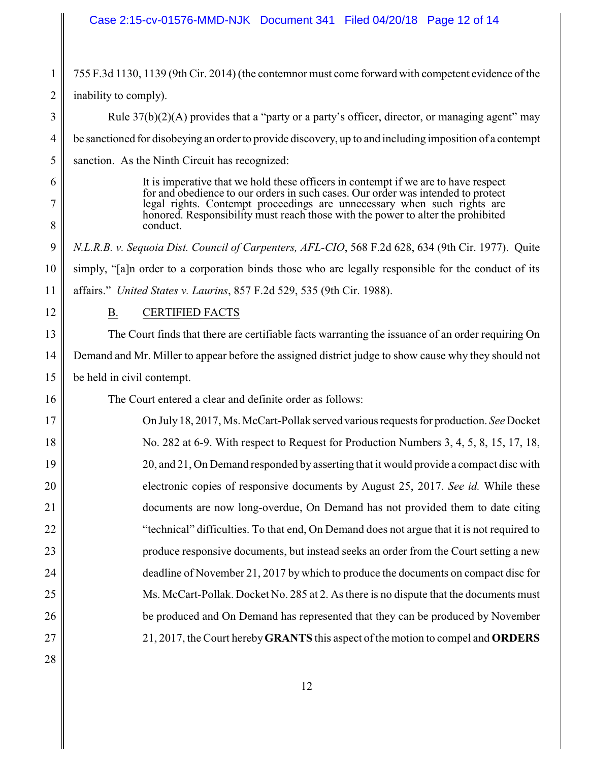### Case 2:15-cv-01576-MMD-NJK Document 341 Filed 04/20/18 Page 12 of 14

1 2 3 755 F.3d 1130, 1139 (9th Cir. 2014) (the contemnor must come forward with competent evidence of the inability to comply). Rule  $37(b)(2)(A)$  provides that a "party or a party's officer, director, or managing agent" may

4 be sanctioned for disobeying an order to provide discovery, up to and including imposition of a contempt

5 sanction. As the Ninth Circuit has recognized:

> It is imperative that we hold these officers in contempt if we are to have respect for and obedience to our orders in such cases. Our order was intended to protect legal rights. Contempt proceedings are unnecessary when such rights are honored. Responsibility must reach those with the power to alter the prohibited conduct.

9 10 11 *N.L.R.B. v. Sequoia Dist. Council of Carpenters, AFL-CIO*, 568 F.2d 628, 634 (9th Cir. 1977). Quite simply, "[a]n order to a corporation binds those who are legally responsible for the conduct of its affairs." *United States v. Laurins*, 857 F.2d 529, 535 (9th Cir. 1988).

12

6

7

8

16

B. CERTIFIED FACTS

13 14 15 The Court finds that there are certifiable facts warranting the issuance of an order requiring On Demand and Mr. Miller to appear before the assigned district judge to show cause why they should not be held in civil contempt.

The Court entered a clear and definite order as follows:

17 18 19 20 21 22 23 24 25 26 27 On July18, 2017, Ms. McCart-Pollak served various requests for production. *See* Docket No. 282 at 6-9. With respect to Request for Production Numbers 3, 4, 5, 8, 15, 17, 18, 20, and 21, On Demand responded by asserting that it would provide a compact disc with electronic copies of responsive documents by August 25, 2017. *See id.* While these documents are now long-overdue, On Demand has not provided them to date citing "technical" difficulties. To that end, On Demand does not argue that it is not required to produce responsive documents, but instead seeks an order from the Court setting a new deadline of November 21, 2017 by which to produce the documents on compact disc for Ms. McCart-Pollak. Docket No. 285 at 2. As there is no dispute that the documents must be produced and On Demand has represented that they can be produced by November 21, 2017, the Court hereby**GRANTS** this aspect of the motion to compel and **ORDERS**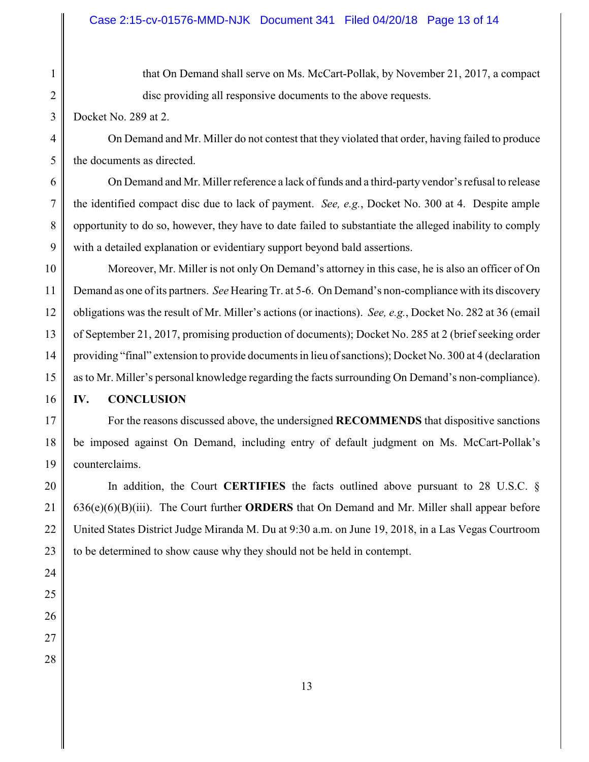1 2

3

that On Demand shall serve on Ms. McCart-Pollak, by November 21, 2017, a compact disc providing all responsive documents to the above requests.

Docket No. 289 at 2.

4 5 On Demand and Mr. Miller do not contest that they violated that order, having failed to produce the documents as directed.

6 7 8 9 On Demand and Mr. Miller reference a lack of funds and a third-party vendor's refusal to release the identified compact disc due to lack of payment. *See, e.g.*, Docket No. 300 at 4. Despite ample opportunity to do so, however, they have to date failed to substantiate the alleged inability to comply with a detailed explanation or evidentiary support beyond bald assertions.

10 11 12 13 14 15 Moreover, Mr. Miller is not only On Demand's attorney in this case, he is also an officer of On Demand as one of its partners. *See* Hearing Tr. at 5-6. On Demand's non-compliance with its discovery obligations was the result of Mr. Miller's actions (or inactions). *See, e.g.*, Docket No. 282 at 36 (email of September 21, 2017, promising production of documents); Docket No. 285 at 2 (brief seeking order providing "final" extension to provide documents in lieu of sanctions); Docket No. 300 at 4 (declaration as to Mr. Miller's personal knowledge regarding the facts surrounding On Demand's non-compliance).

16 **IV. CONCLUSION**

17 18 19 For the reasons discussed above, the undersigned **RECOMMENDS** that dispositive sanctions be imposed against On Demand, including entry of default judgment on Ms. McCart-Pollak's counterclaims.

20 21 22 23 In addition, the Court **CERTIFIES** the facts outlined above pursuant to 28 U.S.C. § 636(e)(6)(B)(iii). The Court further **ORDERS** that On Demand and Mr. Miller shall appear before United States District Judge Miranda M. Du at 9:30 a.m. on June 19, 2018, in a Las Vegas Courtroom to be determined to show cause why they should not be held in contempt.

- 24
- 25 26
- 27
- 28